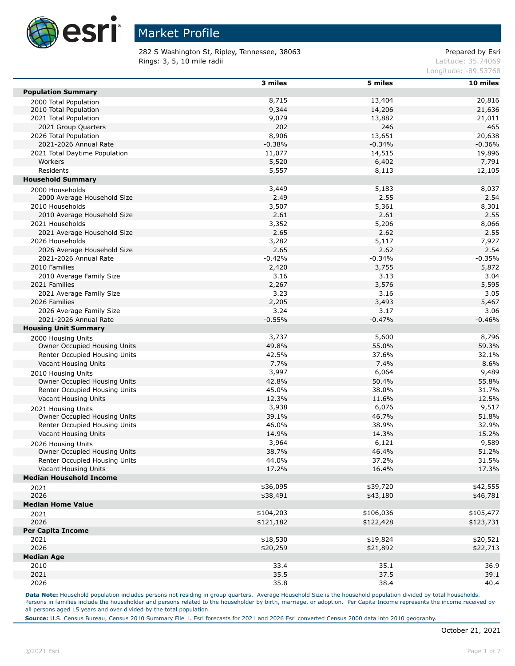

282 S Washington St, Ripley, Tennessee, 38063 Prepared by Esri **Rings: 3, 5, 10 mile radii**  $\blacksquare$  **Rings: 3, 5, 10 mile radii**  $\blacksquare$ 

Longitude: -89.53768

|                                | 3 miles   | 5 miles   | 10 miles  |
|--------------------------------|-----------|-----------|-----------|
| <b>Population Summary</b>      |           |           |           |
| 2000 Total Population          | 8,715     | 13,404    | 20,816    |
| 2010 Total Population          | 9,344     | 14,206    | 21,636    |
| 2021 Total Population          | 9,079     | 13,882    | 21,011    |
| 2021 Group Quarters            | 202       | 246       | 465       |
| 2026 Total Population          | 8,906     | 13,651    | 20,638    |
| 2021-2026 Annual Rate          | $-0.38%$  | $-0.34%$  | $-0.36%$  |
| 2021 Total Daytime Population  | 11,077    | 14,515    | 19,896    |
| Workers                        | 5,520     | 6,402     | 7,791     |
| Residents                      | 5,557     | 8,113     | 12,105    |
| <b>Household Summary</b>       |           |           |           |
| 2000 Households                | 3,449     | 5,183     | 8,037     |
| 2000 Average Household Size    | 2.49      | 2.55      | 2.54      |
| 2010 Households                | 3,507     | 5,361     | 8,301     |
| 2010 Average Household Size    | 2.61      | 2.61      | 2.55      |
| 2021 Households                | 3,352     | 5,206     | 8,066     |
| 2021 Average Household Size    | 2.65      | 2.62      | 2.55      |
| 2026 Households                | 3,282     | 5,117     | 7,927     |
| 2026 Average Household Size    | 2.65      | 2.62      | 2.54      |
| 2021-2026 Annual Rate          | $-0.42%$  | $-0.34%$  | $-0.35%$  |
| 2010 Families                  | 2,420     | 3,755     | 5,872     |
| 2010 Average Family Size       | 3.16      | 3.13      | 3.04      |
| 2021 Families                  | 2,267     | 3,576     | 5,595     |
| 2021 Average Family Size       | 3.23      | 3.16      | 3.05      |
| 2026 Families                  | 2,205     | 3,493     | 5,467     |
| 2026 Average Family Size       | 3.24      | 3.17      | 3.06      |
| 2021-2026 Annual Rate          | $-0.55%$  | $-0.47%$  | $-0.46%$  |
| <b>Housing Unit Summary</b>    |           |           |           |
| 2000 Housing Units             | 3,737     | 5,600     | 8,796     |
| Owner Occupied Housing Units   | 49.8%     | 55.0%     | 59.3%     |
| Renter Occupied Housing Units  | 42.5%     | 37.6%     | 32.1%     |
| Vacant Housing Units           | 7.7%      | 7.4%      | 8.6%      |
| 2010 Housing Units             | 3,997     | 6,064     | 9,489     |
| Owner Occupied Housing Units   | 42.8%     | 50.4%     | 55.8%     |
| Renter Occupied Housing Units  | 45.0%     | 38.0%     | 31.7%     |
| Vacant Housing Units           | 12.3%     | 11.6%     | 12.5%     |
| 2021 Housing Units             | 3,938     | 6,076     | 9,517     |
| Owner Occupied Housing Units   | 39.1%     | 46.7%     | 51.8%     |
| Renter Occupied Housing Units  | 46.0%     | 38.9%     | 32.9%     |
| Vacant Housing Units           | 14.9%     | 14.3%     | 15.2%     |
| 2026 Housing Units             | 3,964     | 6,121     | 9,589     |
| Owner Occupied Housing Units   | 38.7%     | 46.4%     | 51.2%     |
| Renter Occupied Housing Units  | 44.0%     | 37.2%     | 31.5%     |
| Vacant Housing Units           | 17.2%     | 16.4%     | 17.3%     |
| <b>Median Household Income</b> |           |           |           |
| 2021                           | \$36,095  | \$39,720  | \$42,555  |
| 2026                           | \$38,491  | \$43,180  | \$46,781  |
| <b>Median Home Value</b>       |           |           |           |
| 2021                           | \$104,203 | \$106,036 | \$105,477 |
| 2026                           | \$121,182 | \$122,428 | \$123,731 |
| <b>Per Capita Income</b>       |           |           |           |
| 2021                           | \$18,530  | \$19,824  | \$20,521  |
| 2026                           | \$20,259  | \$21,892  |           |
| <b>Median Age</b>              |           |           | \$22,713  |
| 2010                           | 33.4      | 35.1      | 36.9      |
| 2021                           | 35.5      | 37.5      | 39.1      |
| 2026                           |           |           |           |
|                                | 35.8      | 38.4      | 40.4      |

Data Note: Household population includes persons not residing in group quarters. Average Household Size is the household population divided by total households. Persons in families include the householder and persons related to the householder by birth, marriage, or adoption. Per Capita Income represents the income received by all persons aged 15 years and over divided by the total population.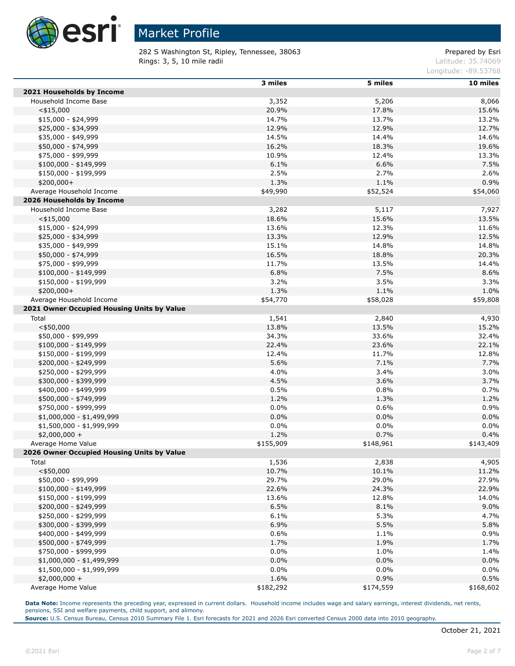

282 S Washington St, Ripley, Tennessee, 38063 Prepared by Esri **Rings: 3, 5, 10 mile radii**  $\blacksquare$  **Rings: 3, 5, 10 mile radii**  $\blacksquare$ 

Longitude: -89.53768

|                                            | 3 miles   | 5 miles   | 10 miles  |
|--------------------------------------------|-----------|-----------|-----------|
| 2021 Households by Income                  |           |           |           |
| Household Income Base                      | 3,352     | 5,206     | 8,066     |
| $<$ \$15,000                               | 20.9%     | 17.8%     | 15.6%     |
| \$15,000 - \$24,999                        | 14.7%     | 13.7%     | 13.2%     |
| \$25,000 - \$34,999                        | 12.9%     | 12.9%     | 12.7%     |
| \$35,000 - \$49,999                        | 14.5%     | 14.4%     | 14.6%     |
| \$50,000 - \$74,999                        | 16.2%     | 18.3%     | 19.6%     |
| \$75,000 - \$99,999                        | 10.9%     | 12.4%     | 13.3%     |
| $$100,000 - $149,999$                      | 6.1%      | 6.6%      | 7.5%      |
| \$150,000 - \$199,999                      | 2.5%      | 2.7%      | 2.6%      |
| \$200,000+                                 | 1.3%      | 1.1%      | 0.9%      |
| Average Household Income                   | \$49,990  | \$52,524  | \$54,060  |
| 2026 Households by Income                  |           |           |           |
| Household Income Base                      | 3,282     | 5,117     | 7,927     |
| $<$ \$15,000                               | 18.6%     | 15.6%     | 13.5%     |
| $$15,000 - $24,999$                        | 13.6%     | 12.3%     | 11.6%     |
| \$25,000 - \$34,999                        | 13.3%     | 12.9%     | 12.5%     |
| \$35,000 - \$49,999                        | 15.1%     | 14.8%     | 14.8%     |
| \$50,000 - \$74,999                        | 16.5%     | 18.8%     | 20.3%     |
| \$75,000 - \$99,999                        | 11.7%     | 13.5%     | 14.4%     |
| $$100,000 - $149,999$                      | 6.8%      | 7.5%      | 8.6%      |
| \$150,000 - \$199,999                      | 3.2%      | 3.5%      | 3.3%      |
| \$200,000+                                 | 1.3%      | 1.1%      | 1.0%      |
| Average Household Income                   | \$54,770  | \$58,028  | \$59,808  |
| 2021 Owner Occupied Housing Units by Value |           |           |           |
| Total                                      | 1,541     | 2,840     | 4,930     |
| $<$ \$50,000                               | 13.8%     | 13.5%     | 15.2%     |
| \$50,000 - \$99,999                        | 34.3%     | 33.6%     | 32.4%     |
| $$100,000 - $149,999$                      | 22.4%     | 23.6%     | 22.1%     |
| \$150,000 - \$199,999                      | 12.4%     | 11.7%     | 12.8%     |
| \$200,000 - \$249,999                      | 5.6%      | 7.1%      | 7.7%      |
| \$250,000 - \$299,999                      | 4.0%      | 3.4%      | 3.0%      |
| \$300,000 - \$399,999                      | 4.5%      | 3.6%      | 3.7%      |
| \$400,000 - \$499,999                      | 0.5%      | 0.8%      | 0.7%      |
| \$500,000 - \$749,999                      | 1.2%      | 1.3%      | 1.2%      |
| \$750,000 - \$999,999                      | 0.0%      | 0.6%      | 0.9%      |
| \$1,000,000 - \$1,499,999                  | 0.0%      | 0.0%      | 0.0%      |
| \$1,500,000 - \$1,999,999                  | 0.0%      | 0.0%      | 0.0%      |
| $$2,000,000 +$                             | 1.2%      | 0.7%      | 0.4%      |
| Average Home Value                         | \$155,909 | \$148,961 | \$143,409 |
| 2026 Owner Occupied Housing Units by Value |           |           |           |
| Total                                      | 1,536     | 2,838     | 4,905     |
| $<$ \$50,000                               | 10.7%     | 10.1%     | 11.2%     |
| \$50,000 - \$99,999                        | 29.7%     | 29.0%     | 27.9%     |
| $$100,000 - $149,999$                      | 22.6%     | 24.3%     | 22.9%     |
| \$150,000 - \$199,999                      | 13.6%     | 12.8%     | 14.0%     |
| \$200,000 - \$249,999                      | 6.5%      | 8.1%      | 9.0%      |
| \$250,000 - \$299,999                      | 6.1%      | 5.3%      | 4.7%      |
| \$300,000 - \$399,999                      | 6.9%      | 5.5%      | 5.8%      |
| \$400,000 - \$499,999                      | 0.6%      | 1.1%      | 0.9%      |
| \$500,000 - \$749,999                      | 1.7%      | 1.9%      | 1.7%      |
| \$750,000 - \$999,999                      | $0.0\%$   | 1.0%      | 1.4%      |
| \$1,000,000 - \$1,499,999                  | 0.0%      | 0.0%      | 0.0%      |
| \$1,500,000 - \$1,999,999                  | 0.0%      | 0.0%      | 0.0%      |
| \$2,000,000 +                              | 1.6%      | 0.9%      | 0.5%      |
| Average Home Value                         | \$182,292 | \$174,559 | \$168,602 |
|                                            |           |           |           |

Data Note: Income represents the preceding year, expressed in current dollars. Household income includes wage and salary earnings, interest dividends, net rents, pensions, SSI and welfare payments, child support, and alimony.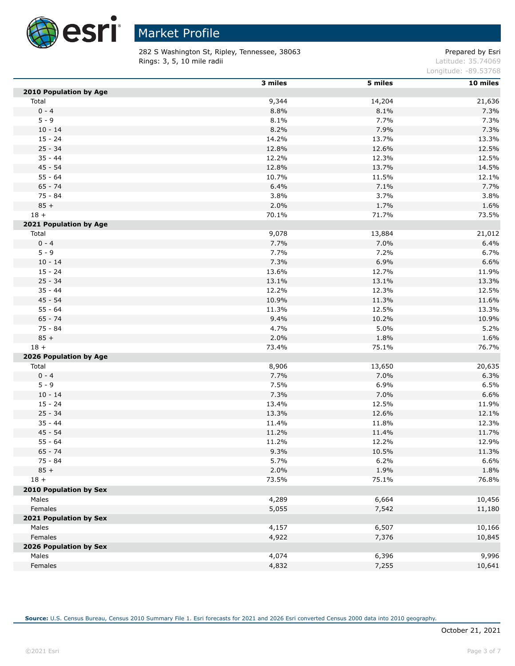

282 S Washington St, Ripley, Tennessee, 38063 Prepared by Esri **Rings: 3, 5, 10 mile radii**  $\blacksquare$  **Rings: 3, 5, 10 mile radii**  $\blacksquare$ 

Longitude: -89.53768

|                               | 3 miles | 5 miles | 10 miles |
|-------------------------------|---------|---------|----------|
| 2010 Population by Age        |         |         |          |
| Total                         | 9,344   | 14,204  | 21,636   |
| $0 - 4$                       | 8.8%    | 8.1%    | 7.3%     |
| $5 - 9$                       | 8.1%    | 7.7%    | 7.3%     |
| $10 - 14$                     | 8.2%    | 7.9%    | 7.3%     |
| $15 - 24$                     | 14.2%   | 13.7%   | 13.3%    |
| $25 - 34$                     | 12.8%   | 12.6%   | 12.5%    |
| $35 - 44$                     | 12.2%   | 12.3%   | 12.5%    |
| $45 - 54$                     | 12.8%   | 13.7%   | 14.5%    |
| $55 - 64$                     | 10.7%   | 11.5%   | 12.1%    |
| $65 - 74$                     | 6.4%    | 7.1%    | 7.7%     |
| 75 - 84                       | 3.8%    | 3.7%    | 3.8%     |
| $85 +$                        | 2.0%    | 1.7%    | 1.6%     |
| $18 +$                        | 70.1%   | 71.7%   | 73.5%    |
| 2021 Population by Age        |         |         |          |
| Total                         | 9,078   | 13,884  | 21,012   |
| $0 - 4$                       | 7.7%    | 7.0%    | 6.4%     |
| $5 - 9$                       | 7.7%    | 7.2%    | 6.7%     |
| $10 - 14$                     | 7.3%    | 6.9%    | 6.6%     |
| $15 - 24$                     | 13.6%   | 12.7%   | 11.9%    |
| $25 - 34$                     | 13.1%   | 13.1%   | 13.3%    |
| $35 - 44$                     | 12.2%   | 12.3%   | 12.5%    |
| $45 - 54$                     | 10.9%   | 11.3%   | 11.6%    |
| $55 - 64$                     | 11.3%   | 12.5%   | 13.3%    |
| $65 - 74$                     | 9.4%    | 10.2%   | 10.9%    |
| 75 - 84                       | 4.7%    | 5.0%    | 5.2%     |
| $85 +$                        | 2.0%    | 1.8%    | 1.6%     |
| $18 +$                        | 73.4%   | 75.1%   | 76.7%    |
| 2026 Population by Age        |         |         |          |
| Total                         | 8,906   | 13,650  | 20,635   |
| $0 - 4$                       | 7.7%    | 7.0%    | 6.3%     |
| $5 - 9$                       | 7.5%    | 6.9%    | 6.5%     |
| $10 - 14$                     | 7.3%    | 7.0%    | 6.6%     |
| $15 - 24$                     | 13.4%   | 12.5%   | 11.9%    |
| $25 - 34$                     | 13.3%   | 12.6%   | 12.1%    |
| $35 - 44$                     | 11.4%   | 11.8%   | 12.3%    |
| $45 - 54$                     | 11.2%   | 11.4%   | 11.7%    |
| $55 - 64$                     | 11.2%   | 12.2%   | 12.9%    |
| $65 - 74$                     | 9.3%    | 10.5%   | 11.3%    |
| 75 - 84                       | 5.7%    | 6.2%    | 6.6%     |
| $85 +$                        | 2.0%    | 1.9%    | 1.8%     |
| $18 +$                        | 73.5%   | 75.1%   | 76.8%    |
| <b>2010 Population by Sex</b> |         |         |          |
| Males                         | 4,289   | 6,664   | 10,456   |
| Females                       | 5,055   | 7,542   | 11,180   |
| 2021 Population by Sex        |         |         |          |
| Males                         | 4,157   | 6,507   | 10,166   |
| Females                       | 4,922   | 7,376   | 10,845   |
| 2026 Population by Sex        |         |         |          |
| Males                         | 4,074   | 6,396   | 9,996    |
| Females                       | 4,832   | 7,255   | 10,641   |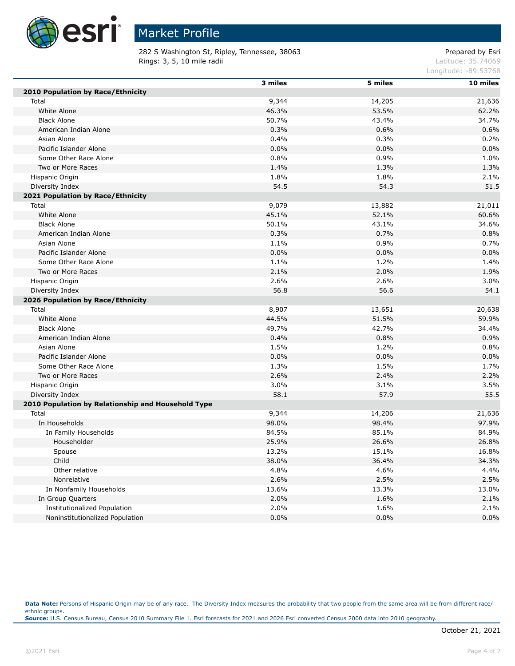

282 S Washington St, Ripley, Tennessee, 38063 Prepared by Esri **Rings: 3, 5, 10 mile radii**  $\blacksquare$  **Rings: 3, 5, 10 mile radii**  $\blacksquare$ 

Longitude: -89.53768

|                                                    | 3 miles | 5 miles | 10 miles |
|----------------------------------------------------|---------|---------|----------|
| 2010 Population by Race/Ethnicity                  |         |         |          |
| Total                                              | 9,344   | 14,205  | 21,636   |
| White Alone                                        | 46.3%   | 53.5%   | 62.2%    |
| <b>Black Alone</b>                                 | 50.7%   | 43.4%   | 34.7%    |
| American Indian Alone                              | 0.3%    | 0.6%    | 0.6%     |
| Asian Alone                                        | 0.4%    | 0.3%    | 0.2%     |
| Pacific Islander Alone                             | 0.0%    | 0.0%    | 0.0%     |
| Some Other Race Alone                              | 0.8%    | 0.9%    | 1.0%     |
| Two or More Races                                  | 1.4%    | 1.3%    | 1.3%     |
| Hispanic Origin                                    | 1.8%    | 1.8%    | 2.1%     |
| Diversity Index                                    | 54.5    | 54.3    | 51.5     |
| 2021 Population by Race/Ethnicity                  |         |         |          |
| Total                                              | 9,079   | 13,882  | 21,011   |
| White Alone                                        | 45.1%   | 52.1%   | 60.6%    |
| <b>Black Alone</b>                                 | 50.1%   | 43.1%   | 34.6%    |
| American Indian Alone                              | 0.3%    | 0.7%    | 0.8%     |
| Asian Alone                                        | 1.1%    | 0.9%    | 0.7%     |
| Pacific Islander Alone                             | 0.0%    | 0.0%    | 0.0%     |
| Some Other Race Alone                              | 1.1%    | 1.2%    | 1.4%     |
| Two or More Races                                  | 2.1%    | 2.0%    | 1.9%     |
| Hispanic Origin                                    | 2.6%    | 2.6%    | 3.0%     |
| Diversity Index                                    | 56.8    | 56.6    | 54.1     |
| 2026 Population by Race/Ethnicity                  |         |         |          |
| Total                                              | 8,907   | 13,651  | 20,638   |
| White Alone                                        | 44.5%   | 51.5%   | 59.9%    |
| <b>Black Alone</b>                                 | 49.7%   | 42.7%   | 34.4%    |
| American Indian Alone                              | 0.4%    | 0.8%    | 0.9%     |
| Asian Alone                                        | 1.5%    | 1.2%    | 0.8%     |
| Pacific Islander Alone                             | 0.0%    | 0.0%    | 0.0%     |
| Some Other Race Alone                              | 1.3%    | 1.5%    | 1.7%     |
| Two or More Races                                  | 2.6%    | 2.4%    | 2.2%     |
| Hispanic Origin                                    | 3.0%    | 3.1%    | 3.5%     |
| Diversity Index                                    | 58.1    | 57.9    | 55.5     |
| 2010 Population by Relationship and Household Type |         |         |          |
| Total                                              | 9,344   | 14,206  | 21,636   |
| In Households                                      | 98.0%   | 98.4%   | 97.9%    |
| In Family Households                               | 84.5%   | 85.1%   | 84.9%    |
| Householder                                        | 25.9%   | 26.6%   | 26.8%    |
| Spouse                                             | 13.2%   | 15.1%   | 16.8%    |
| Child                                              | 38.0%   | 36.4%   | 34.3%    |
| Other relative                                     | 4.8%    | 4.6%    | 4.4%     |
| Nonrelative                                        | 2.6%    | 2.5%    | 2.5%     |
| In Nonfamily Households                            | 13.6%   | 13.3%   | 13.0%    |
| In Group Quarters                                  | 2.0%    | 1.6%    | 2.1%     |
| <b>Institutionalized Population</b>                | 2.0%    | 1.6%    | 2.1%     |
| Noninstitutionalized Population                    | 0.0%    | 0.0%    | 0.0%     |

Data Note: Persons of Hispanic Origin may be of any race. The Diversity Index measures the probability that two people from the same area will be from different race/ ethnic groups. **Source:** U.S. Census Bureau, Census 2010 Summary File 1. Esri forecasts for 2021 and 2026 Esri converted Census 2000 data into 2010 geography.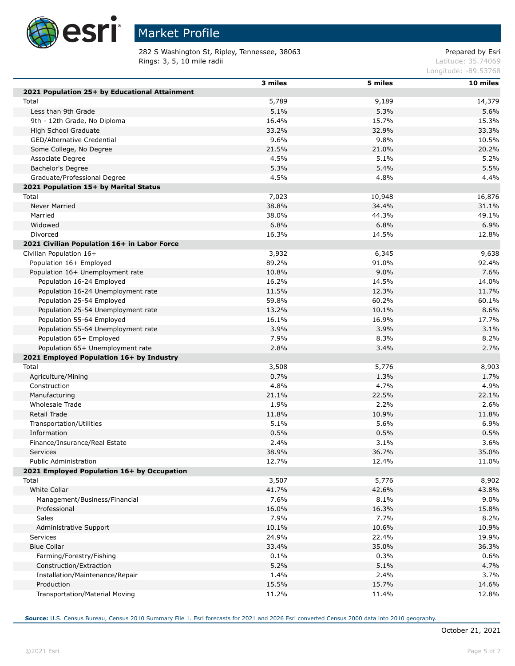

# Market Profile

282 S Washington St, Ripley, Tennessee, 38063 Prepared by Esri **Rings: 3, 5, 10 mile radii**  $\blacksquare$  **Rings: 3, 5, 10 mile radii**  $\blacksquare$ 

Longitude: -89.53768

|                                               | 3 miles | 5 miles | 10 miles |
|-----------------------------------------------|---------|---------|----------|
| 2021 Population 25+ by Educational Attainment |         |         |          |
| Total                                         | 5,789   | 9,189   | 14,379   |
| Less than 9th Grade                           | 5.1%    | 5.3%    | 5.6%     |
| 9th - 12th Grade, No Diploma                  | 16.4%   | 15.7%   | 15.3%    |
| High School Graduate                          | 33.2%   | 32.9%   | 33.3%    |
| GED/Alternative Credential                    | 9.6%    | 9.8%    | 10.5%    |
| Some College, No Degree                       | 21.5%   | 21.0%   | 20.2%    |
| Associate Degree                              | 4.5%    | 5.1%    | 5.2%     |
| Bachelor's Degree                             | 5.3%    | 5.4%    | 5.5%     |
| Graduate/Professional Degree                  | 4.5%    | 4.8%    | 4.4%     |
| 2021 Population 15+ by Marital Status         |         |         |          |
| Total                                         | 7,023   | 10,948  | 16,876   |
| <b>Never Married</b>                          | 38.8%   | 34.4%   | 31.1%    |
| Married                                       | 38.0%   | 44.3%   | 49.1%    |
| Widowed                                       | 6.8%    | 6.8%    | 6.9%     |
| Divorced                                      | 16.3%   | 14.5%   | 12.8%    |
| 2021 Civilian Population 16+ in Labor Force   |         |         |          |
| Civilian Population 16+                       | 3,932   | 6,345   | 9,638    |
| Population 16+ Employed                       | 89.2%   | 91.0%   | 92.4%    |
| Population 16+ Unemployment rate              | 10.8%   | 9.0%    | 7.6%     |
| Population 16-24 Employed                     | 16.2%   | 14.5%   | 14.0%    |
| Population 16-24 Unemployment rate            | 11.5%   | 12.3%   | 11.7%    |
| Population 25-54 Employed                     | 59.8%   | 60.2%   | 60.1%    |
| Population 25-54 Unemployment rate            | 13.2%   | 10.1%   | 8.6%     |
| Population 55-64 Employed                     | 16.1%   | 16.9%   | 17.7%    |
| Population 55-64 Unemployment rate            | 3.9%    | 3.9%    | 3.1%     |
| Population 65+ Employed                       | 7.9%    | 8.3%    | 8.2%     |
| Population 65+ Unemployment rate              | 2.8%    | 3.4%    | 2.7%     |
| 2021 Employed Population 16+ by Industry      |         |         |          |
| Total                                         | 3,508   | 5,776   | 8,903    |
| Agriculture/Mining                            | 0.7%    | 1.3%    | 1.7%     |
| Construction                                  | 4.8%    | 4.7%    | 4.9%     |
| Manufacturing                                 | 21.1%   | 22.5%   | 22.1%    |
| Wholesale Trade                               | 1.9%    | 2.2%    | 2.6%     |
| Retail Trade                                  | 11.8%   | 10.9%   | 11.8%    |
| Transportation/Utilities                      | 5.1%    | 5.6%    | 6.9%     |
| Information                                   | 0.5%    | 0.5%    | 0.5%     |
| Finance/Insurance/Real Estate                 | 2.4%    | 3.1%    | 3.6%     |
| <b>Services</b>                               | 38.9%   | 36.7%   | 35.0%    |
| Public Administration                         | 12.7%   | 12.4%   | 11.0%    |
| 2021 Employed Population 16+ by Occupation    |         |         |          |
| Total                                         | 3,507   | 5,776   | 8,902    |
| White Collar                                  | 41.7%   | 42.6%   | 43.8%    |
| Management/Business/Financial                 | 7.6%    | 8.1%    | 9.0%     |
| Professional                                  | 16.0%   | 16.3%   | 15.8%    |
| Sales                                         | 7.9%    | 7.7%    | 8.2%     |
| Administrative Support                        | 10.1%   | 10.6%   | 10.9%    |
| Services                                      | 24.9%   | 22.4%   | 19.9%    |
| <b>Blue Collar</b>                            | 33.4%   | 35.0%   | 36.3%    |
| Farming/Forestry/Fishing                      | 0.1%    | 0.3%    | 0.6%     |
| Construction/Extraction                       | 5.2%    | 5.1%    | 4.7%     |
| Installation/Maintenance/Repair               | 1.4%    | 2.4%    | 3.7%     |
| Production                                    | 15.5%   | 15.7%   | 14.6%    |
| Transportation/Material Moving                | 11.2%   | 11.4%   | 12.8%    |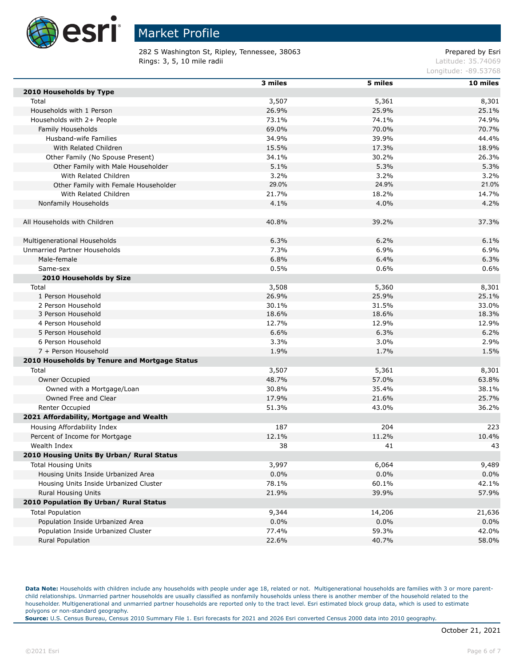

282 S Washington St, Ripley, Tennessee, 38063 Prepared by Esri **Rings: 3, 5, 10 mile radii**  $\blacksquare$  **Rings: 3, 5, 10 mile radii**  $\blacksquare$ 

Longitude: -89.53768

|                                                                         | 3 miles       | 5 miles       | 10 miles      |
|-------------------------------------------------------------------------|---------------|---------------|---------------|
| 2010 Households by Type                                                 |               |               |               |
| Total                                                                   | 3,507         | 5,361         | 8,301         |
| Households with 1 Person                                                | 26.9%         | 25.9%         | 25.1%         |
| Households with 2+ People                                               | 73.1%         | 74.1%         | 74.9%         |
| Family Households                                                       | 69.0%         | 70.0%         | 70.7%         |
| Husband-wife Families                                                   | 34.9%         | 39.9%         | 44.4%         |
| With Related Children                                                   | 15.5%         | 17.3%         | 18.9%         |
| Other Family (No Spouse Present)                                        | 34.1%         | 30.2%         | 26.3%         |
| Other Family with Male Householder                                      | 5.1%          | 5.3%          | 5.3%          |
| With Related Children                                                   | 3.2%          | 3.2%          | 3.2%          |
| Other Family with Female Householder                                    | 29.0%         | 24.9%         | 21.0%         |
| With Related Children                                                   | 21.7%         | 18.2%         | 14.7%         |
| Nonfamily Households                                                    | 4.1%          | 4.0%          | 4.2%          |
|                                                                         |               |               |               |
| All Households with Children                                            | 40.8%         | 39.2%         | 37.3%         |
|                                                                         |               |               |               |
| Multigenerational Households                                            | 6.3%          | 6.2%          | 6.1%          |
| Unmarried Partner Households                                            | 7.3%          | 6.9%          | 6.9%          |
| Male-female                                                             | 6.8%          | 6.4%          | 6.3%          |
| Same-sex                                                                | 0.5%          | 0.6%          | 0.6%          |
| 2010 Households by Size                                                 |               |               |               |
| Total                                                                   | 3,508         | 5,360         | 8,301         |
| 1 Person Household                                                      | 26.9%         | 25.9%         | 25.1%         |
| 2 Person Household                                                      | 30.1%         | 31.5%         | 33.0%         |
| 3 Person Household                                                      | 18.6%         | 18.6%         | 18.3%         |
| 4 Person Household                                                      | 12.7%         | 12.9%         | 12.9%         |
| 5 Person Household                                                      | 6.6%          | 6.3%          | 6.2%          |
| 6 Person Household                                                      | 3.3%          | 3.0%          | 2.9%          |
| 7 + Person Household                                                    | 1.9%          | 1.7%          | 1.5%          |
| 2010 Households by Tenure and Mortgage Status                           |               |               |               |
| Total                                                                   | 3,507         | 5,361         | 8,301         |
| Owner Occupied                                                          | 48.7%         | 57.0%         | 63.8%         |
| Owned with a Mortgage/Loan                                              | 30.8%         | 35.4%         | 38.1%         |
| Owned Free and Clear                                                    | 17.9%         | 21.6%         | 25.7%         |
| Renter Occupied                                                         | 51.3%         | 43.0%         | 36.2%         |
| 2021 Affordability, Mortgage and Wealth                                 |               |               |               |
| Housing Affordability Index                                             | 187           | 204           | 223           |
| Percent of Income for Mortgage                                          | 12.1%         | 11.2%         | 10.4%         |
| Wealth Index                                                            | 38            | 41            | 43            |
| 2010 Housing Units By Urban/ Rural Status                               |               |               |               |
| <b>Total Housing Units</b>                                              | 3,997         | 6,064         | 9,489         |
| Housing Units Inside Urbanized Area                                     | 0.0%          | 0.0%          | 0.0%          |
| Housing Units Inside Urbanized Cluster                                  | 78.1%         | 60.1%         | 42.1%         |
| <b>Rural Housing Units</b>                                              | 21.9%         | 39.9%         | 57.9%         |
| 2010 Population By Urban/ Rural Status                                  |               |               |               |
| <b>Total Population</b>                                                 | 9,344         |               |               |
|                                                                         |               | 14,206        | 21,636        |
| Population Inside Urbanized Area<br>Population Inside Urbanized Cluster | 0.0%<br>77.4% | 0.0%<br>59.3% | 0.0%<br>42.0% |
| Rural Population                                                        | 22.6%         | 40.7%         | 58.0%         |
|                                                                         |               |               |               |

Data Note: Households with children include any households with people under age 18, related or not. Multigenerational households are families with 3 or more parentchild relationships. Unmarried partner households are usually classified as nonfamily households unless there is another member of the household related to the householder. Multigenerational and unmarried partner households are reported only to the tract level. Esri estimated block group data, which is used to estimate polygons or non-standard geography.